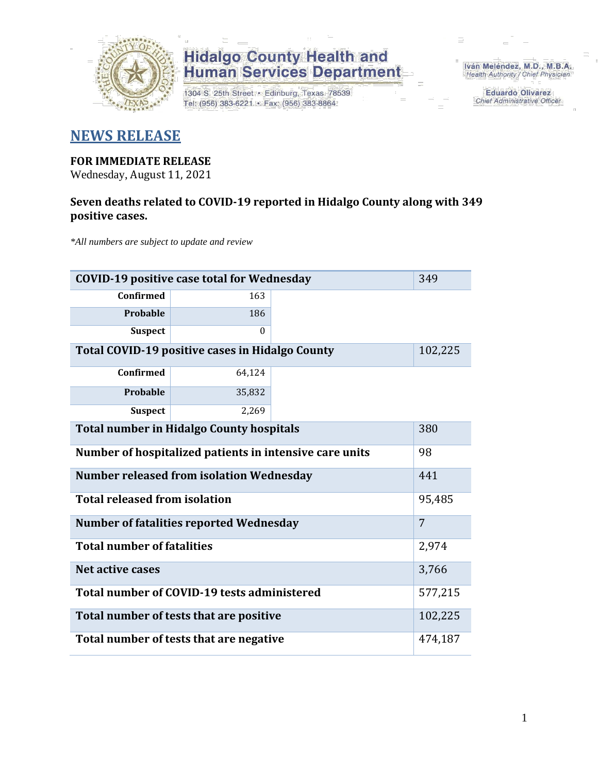

1304 S. 25th Street · Edinburg, Texas 78539 Tel: (956) 383-6221 · Fax: (956) 383-8864

Iván Meléndez, M.D., M.B.A. Health Authority / Chief Physician

> **Eduardo Olivarez** Chief Administrative Officer

### **NEWS RELEASE**

#### **FOR IMMEDIATE RELEASE**

Wednesday, August 11, 2021

### **Seven deaths related to COVID-19 reported in Hidalgo County along with 349 positive cases.**

*\*All numbers are subject to update and review*

| <b>COVID-19 positive case total for Wednesday</b>       | 349      |         |       |
|---------------------------------------------------------|----------|---------|-------|
| Confirmed                                               | 163      |         |       |
| <b>Probable</b>                                         | 186      |         |       |
| <b>Suspect</b>                                          | $\theta$ |         |       |
| Total COVID-19 positive cases in Hidalgo County         | 102,225  |         |       |
| <b>Confirmed</b>                                        | 64,124   |         |       |
| Probable                                                | 35,832   |         |       |
| <b>Suspect</b>                                          | 2,269    |         |       |
| <b>Total number in Hidalgo County hospitals</b>         | 380      |         |       |
| Number of hospitalized patients in intensive care units | 98       |         |       |
| <b>Number released from isolation Wednesday</b>         | 441      |         |       |
| <b>Total released from isolation</b>                    | 95,485   |         |       |
| <b>Number of fatalities reported Wednesday</b>          | 7        |         |       |
| <b>Total number of fatalities</b>                       |          |         | 2,974 |
| Net active cases                                        |          |         | 3,766 |
| Total number of COVID-19 tests administered             |          | 577,215 |       |
| Total number of tests that are positive                 | 102,225  |         |       |
| Total number of tests that are negative                 | 474,187  |         |       |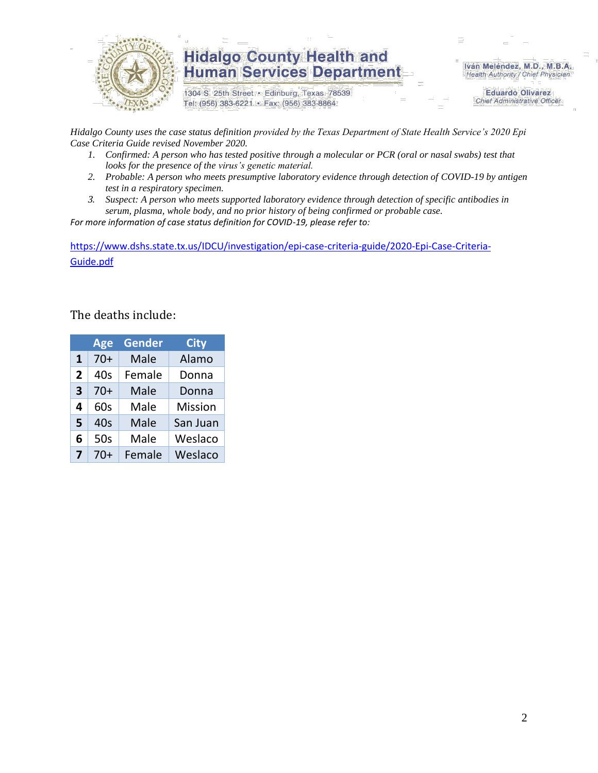

1304 S. 25th Street · Edinburg, Texas 78539 Tel: (956) 383-6221 · Fax: (956) 383-8864

Iván Meléndez, M.D., M.B.A. Health Authority / Chief Physician

> **Eduardo Olivarez Chief Administrative Officer**

*Hidalgo County uses the case status definition provided by the Texas Department of State Health Service's 2020 Epi Case Criteria Guide revised November 2020.*

- *1. Confirmed: A person who has tested positive through a molecular or PCR (oral or nasal swabs) test that looks for the presence of the virus's genetic material.*
- *2. Probable: A person who meets presumptive laboratory evidence through detection of COVID-19 by antigen test in a respiratory specimen.*
- *3. Suspect: A person who meets supported laboratory evidence through detection of specific antibodies in serum, plasma, whole body, and no prior history of being confirmed or probable case.*

*For more information of case status definition for COVID-19, please refer to:*

[https://www.dshs.state.tx.us/IDCU/investigation/epi-case-criteria-guide/2020-Epi-Case-Criteria-](https://www.dshs.state.tx.us/IDCU/investigation/epi-case-criteria-guide/2020-Epi-Case-Criteria-Guide.pdf)[Guide.pdf](https://www.dshs.state.tx.us/IDCU/investigation/epi-case-criteria-guide/2020-Epi-Case-Criteria-Guide.pdf)

### The deaths include:

|   | Age   | Gender | <b>City</b>    |
|---|-------|--------|----------------|
| 1 | $70+$ | Male   | Alamo          |
| 2 | 40s   | Female | Donna          |
| 3 | $70+$ | Male   | Donna          |
| 4 | 60s   | Male   | <b>Mission</b> |
| 5 | 40s   | Male   | San Juan       |
| 6 | 50s   | Male   | Weslaco        |
| 7 | $70+$ | Female | Weslaco        |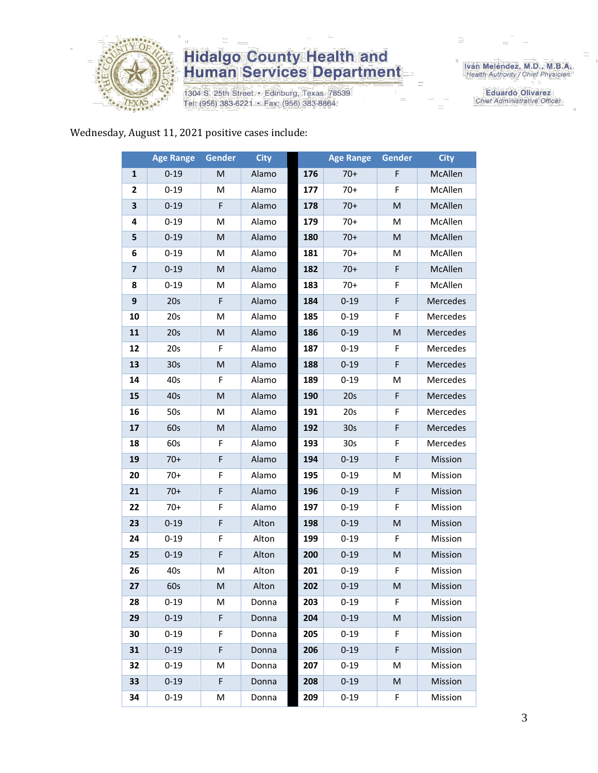

1304 S. 25th Street · Edinburg, Texas 78539 Tel: (956) 383-6221 · Fax: (956) 383-8864

Iván Meléndez, M.D., M.B.A.<br>Health Authority / Chief Physician

**Eduardo Olivarez** Chief Administrative Officer

#### Wednesday, August 11, 2021 positive cases include:

|                         | <b>Age Range</b> | Gender      | <b>City</b> |     | <b>Age Range</b> | Gender | <b>City</b> |
|-------------------------|------------------|-------------|-------------|-----|------------------|--------|-------------|
| 1                       | $0 - 19$         | M           | Alamo       | 176 | $70+$            | F      | McAllen     |
| 2                       | $0 - 19$         | м           | Alamo       | 177 | $70+$            | F      | McAllen     |
| 3                       | $0 - 19$         | F           | Alamo       | 178 | $70+$            | M      | McAllen     |
| 4                       | $0 - 19$         | м           | Alamo       | 179 | $70+$            | м      | McAllen     |
| 5                       | $0 - 19$         | M           | Alamo       | 180 | $70+$            | M      | McAllen     |
| 6                       | $0 - 19$         | M           | Alamo       | 181 | $70+$            | M      | McAllen     |
| $\overline{\mathbf{z}}$ | $0 - 19$         | M           | Alamo       | 182 | $70+$            | F      | McAllen     |
| 8                       | $0 - 19$         | M           | Alamo       | 183 | $70+$            | F      | McAllen     |
| 9                       | 20s              | F           | Alamo       | 184 | $0 - 19$         | F      | Mercedes    |
| 10                      | 20s              | M           | Alamo       | 185 | $0 - 19$         | F      | Mercedes    |
| 11                      | 20s              | M           | Alamo       | 186 | $0 - 19$         | M      | Mercedes    |
| 12                      | 20s              | F           | Alamo       | 187 | $0 - 19$         | F      | Mercedes    |
| 13                      | 30 <sub>s</sub>  | M           | Alamo       | 188 | $0 - 19$         | F      | Mercedes    |
| 14                      | 40s              | F           | Alamo       | 189 | $0 - 19$         | M      | Mercedes    |
| 15                      | 40s              | M           | Alamo       | 190 | 20s              | F      | Mercedes    |
| 16                      | 50s              | M           | Alamo       | 191 | 20s              | F      | Mercedes    |
| 17                      | 60s              | M           | Alamo       | 192 | 30 <sub>s</sub>  | F      | Mercedes    |
| 18                      | 60s              | F           | Alamo       | 193 | 30 <sub>s</sub>  | F      | Mercedes    |
| 19                      | $70+$            | F           | Alamo       | 194 | $0 - 19$         | F      | Mission     |
| 20                      | 70+              | F           | Alamo       | 195 | $0 - 19$         | M      | Mission     |
| 21                      | $70+$            | $\mathsf F$ | Alamo       | 196 | $0 - 19$         | F      | Mission     |
| 22                      | $70+$            | F           | Alamo       | 197 | $0 - 19$         | F      | Mission     |
| 23                      | $0 - 19$         | F           | Alton       | 198 | $0 - 19$         | M      | Mission     |
| 24                      | $0 - 19$         | F           | Alton       | 199 | $0 - 19$         | F      | Mission     |
| 25                      | $0 - 19$         | F           | Alton       | 200 | $0 - 19$         | M      | Mission     |
| 26                      | 40s              | M           | Alton       | 201 | $0 - 19$         | F      | Mission     |
| 27                      | 60s              | M           | Alton       | 202 | $0 - 19$         | M      | Mission     |
| 28                      | $0 - 19$         | м           | Donna       | 203 | $0 - 19$         | F      | Mission     |
| 29                      | $0 - 19$         | F           | Donna       | 204 | $0 - 19$         | M      | Mission     |
| 30                      | $0 - 19$         | F           | Donna       | 205 | $0 - 19$         | F      | Mission     |
| 31                      | $0 - 19$         | F           | Donna       | 206 | $0 - 19$         | F      | Mission     |
| 32                      | $0 - 19$         | M           | Donna       | 207 | $0 - 19$         | M      | Mission     |
| 33                      | $0 - 19$         | F           | Donna       | 208 | $0 - 19$         | M      | Mission     |
| 34                      | $0 - 19$         | M           | Donna       | 209 | $0 - 19$         | F      | Mission     |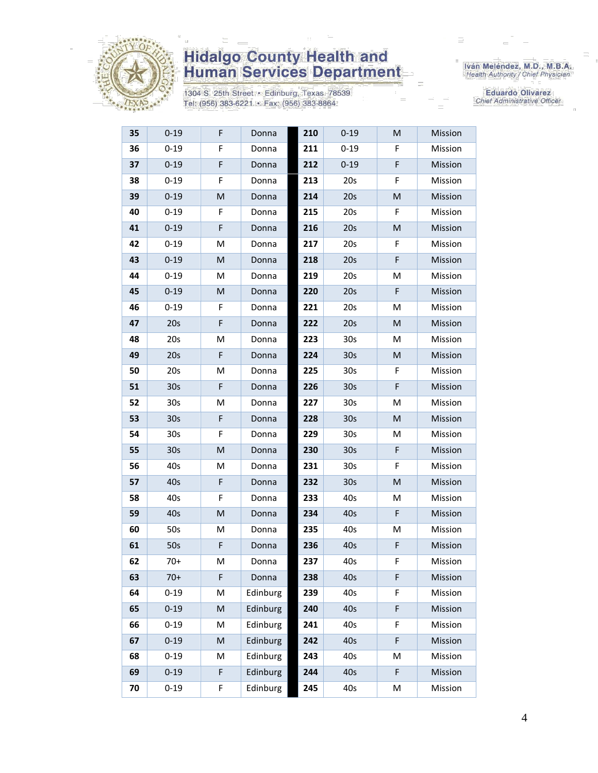

1304 S. 25th Street · Edinburg, Texas 78539 Tel: (956) 383-6221 · Fax: (956) 383-8864

Iván Meléndez, M.D., M.B.A.<br>Health Authority / Chief Physician

Eduardo Olivarez Chief Administrative Officer

| 35 | $0 - 19$        | F         | Donna    | 210 | $0 - 19$        | ${\sf M}$ | Mission |
|----|-----------------|-----------|----------|-----|-----------------|-----------|---------|
| 36 | $0 - 19$        | F         | Donna    | 211 | $0 - 19$        | F         | Mission |
| 37 | $0 - 19$        | F         | Donna    | 212 | $0 - 19$        | F         | Mission |
| 38 | $0 - 19$        | F         | Donna    | 213 | 20s             | F         | Mission |
| 39 | $0 - 19$        | M         | Donna    | 214 | 20s             | M         | Mission |
| 40 | $0 - 19$        | F         | Donna    | 215 | 20s             | F         | Mission |
| 41 | $0 - 19$        | F         | Donna    | 216 | 20s             | M         | Mission |
| 42 | $0 - 19$        | M         | Donna    | 217 | 20s             | F         | Mission |
| 43 | $0 - 19$        | M         | Donna    | 218 | 20s             | F         | Mission |
| 44 | $0 - 19$        | M         | Donna    | 219 | 20s             | M         | Mission |
| 45 | $0 - 19$        | M         | Donna    | 220 | 20s             | F         | Mission |
| 46 | $0 - 19$        | F         | Donna    | 221 | 20s             | M         | Mission |
| 47 | 20s             | F         | Donna    | 222 | 20s             | ${\sf M}$ | Mission |
| 48 | 20s             | M         | Donna    | 223 | 30 <sub>s</sub> | M         | Mission |
| 49 | 20s             | F         | Donna    | 224 | 30 <sub>s</sub> | M         | Mission |
| 50 | 20s             | M         | Donna    | 225 | 30 <sub>s</sub> | F         | Mission |
| 51 | 30 <sub>s</sub> | F         | Donna    | 226 | 30 <sub>s</sub> | F         | Mission |
| 52 | 30 <sub>s</sub> | M         | Donna    | 227 | 30 <sub>s</sub> | M         | Mission |
| 53 | 30 <sub>s</sub> | F         | Donna    | 228 | 30 <sub>s</sub> | ${\sf M}$ | Mission |
| 54 | 30 <sub>s</sub> | F         | Donna    | 229 | 30 <sub>s</sub> | M         | Mission |
| 55 | 30 <sub>s</sub> | M         | Donna    | 230 | 30 <sub>s</sub> | F         | Mission |
| 56 | 40s             | M         | Donna    | 231 | 30 <sub>s</sub> | F         | Mission |
| 57 | 40s             | F         | Donna    | 232 | 30 <sub>s</sub> | M         | Mission |
| 58 | 40s             | F         | Donna    | 233 | 40s             | M         | Mission |
| 59 | 40s             | M         | Donna    | 234 | 40s             | F         | Mission |
| 60 | 50s             | M         | Donna    | 235 | 40s             | M         | Mission |
| 61 | 50s             | F         | Donna    | 236 | 40s             | F         | Mission |
| 62 | $70+$           | M         | Donna    | 237 | 40s             | F         | Mission |
| 63 | $70+$           | F         | Donna    | 238 | 40s             | F         | Mission |
| 64 | $0 - 19$        | M         | Edinburg | 239 | 40s             | F         | Mission |
| 65 | $0 - 19$        | ${\sf M}$ | Edinburg | 240 | 40s             | F         | Mission |
| 66 | $0 - 19$        | M         | Edinburg | 241 | 40s             | F         | Mission |
| 67 | $0 - 19$        | M         | Edinburg | 242 | 40s             | F         | Mission |
| 68 | $0 - 19$        | M         | Edinburg | 243 | 40s             | M         | Mission |
| 69 | $0 - 19$        | F         | Edinburg | 244 | 40s             | F         | Mission |
| 70 | $0 - 19$        | F         | Edinburg | 245 | 40s             | M         | Mission |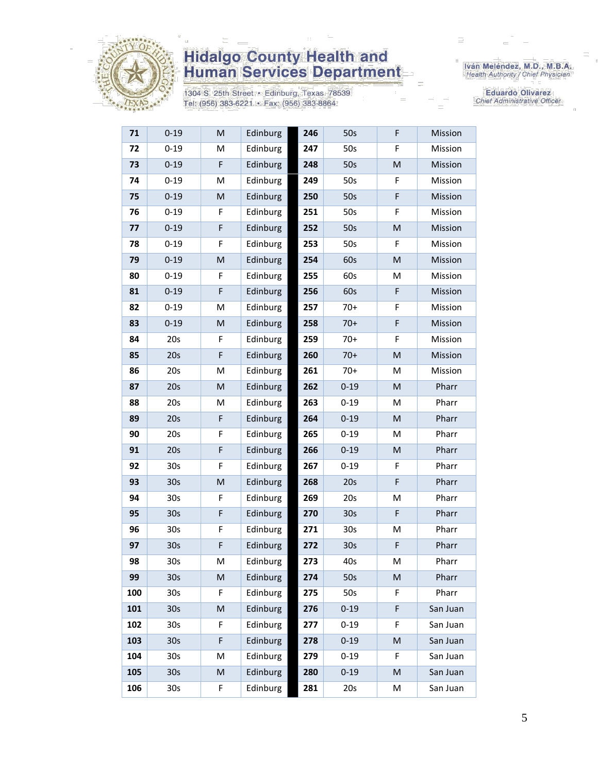

1304 S. 25th Street • Edinburg, Texas 78539<br>Tel: (956) 383-6221 • Fax: (956) 383-8864

Iván Meléndez, M.D., M.B.A.<br>Health Authority / Chief Physician

Eduardo Olivarez Chief Administrative Officer

| 71  | $0 - 19$        | M           | Edinburg | 246 | 50s             | F         | Mission  |
|-----|-----------------|-------------|----------|-----|-----------------|-----------|----------|
| 72  | $0 - 19$        | M           | Edinburg | 247 | 50s             | F         | Mission  |
| 73  | $0 - 19$        | $\mathsf F$ | Edinburg | 248 | 50s             | M         | Mission  |
| 74  | $0 - 19$        | M           | Edinburg | 249 | 50s             | F         | Mission  |
| 75  | $0 - 19$        | M           | Edinburg | 250 | 50s             | F         | Mission  |
| 76  | $0 - 19$        | F           | Edinburg | 251 | 50s             | F         | Mission  |
| 77  | $0 - 19$        | F           | Edinburg | 252 | 50s             | M         | Mission  |
| 78  | $0 - 19$        | F           | Edinburg | 253 | 50s             | F         | Mission  |
| 79  | $0 - 19$        | M           | Edinburg | 254 | 60s             | M         | Mission  |
| 80  | $0 - 19$        | F           | Edinburg | 255 | 60s             | M         | Mission  |
| 81  | $0 - 19$        | F           | Edinburg | 256 | 60s             | F         | Mission  |
| 82  | $0 - 19$        | M           | Edinburg | 257 | $70+$           | F         | Mission  |
| 83  | $0 - 19$        | M           | Edinburg | 258 | $70+$           | F         | Mission  |
| 84  | 20s             | F           | Edinburg | 259 | $70+$           | F         | Mission  |
| 85  | 20s             | $\mathsf F$ | Edinburg | 260 | $70+$           | M         | Mission  |
| 86  | 20s             | M           | Edinburg | 261 | $70+$           | M         | Mission  |
| 87  | 20s             | M           | Edinburg | 262 | $0 - 19$        | M         | Pharr    |
| 88  | 20s             | M           | Edinburg | 263 | $0 - 19$        | M         | Pharr    |
| 89  | 20s             | $\mathsf F$ | Edinburg | 264 | $0 - 19$        | ${\sf M}$ | Pharr    |
| 90  | 20s             | F           | Edinburg | 265 | $0 - 19$        | M         | Pharr    |
| 91  | 20s             | F           | Edinburg | 266 | $0 - 19$        | M         | Pharr    |
| 92  | 30s             | F           | Edinburg | 267 | $0 - 19$        | F         | Pharr    |
| 93  | 30 <sub>s</sub> | M           | Edinburg | 268 | 20s             | F         | Pharr    |
| 94  | 30s             | F           | Edinburg | 269 | 20s             | M         | Pharr    |
| 95  | 30 <sub>s</sub> | F           | Edinburg | 270 | 30 <sub>s</sub> | F         | Pharr    |
| 96  | 30 <sub>s</sub> | F           | Edinburg | 271 | 30 <sub>s</sub> | M         | Pharr    |
| 97  | 30 <sub>s</sub> | F           | Edinburg | 272 | 30 <sub>s</sub> | F         | Pharr    |
| 98  | 30 <sub>s</sub> | М           | Edinburg | 273 | 40s             | M         | Pharr    |
| 99  | 30 <sub>s</sub> | М           | Edinburg | 274 | 50s             | M         | Pharr    |
| 100 | 30 <sub>s</sub> | F.          | Edinburg | 275 | 50s             | F         | Pharr    |
| 101 | 30 <sub>s</sub> | M           | Edinburg | 276 | $0 - 19$        | F         | San Juan |
| 102 | 30s             | F           | Edinburg | 277 | $0 - 19$        | F         | San Juan |
| 103 | 30 <sub>s</sub> | F           | Edinburg | 278 | $0 - 19$        | M         | San Juan |
| 104 | 30 <sub>s</sub> | M           | Edinburg | 279 | $0 - 19$        | F         | San Juan |
| 105 | 30 <sub>s</sub> | M           | Edinburg | 280 | $0 - 19$        | M         | San Juan |
| 106 | 30s             | F           | Edinburg | 281 | 20s             | М         | San Juan |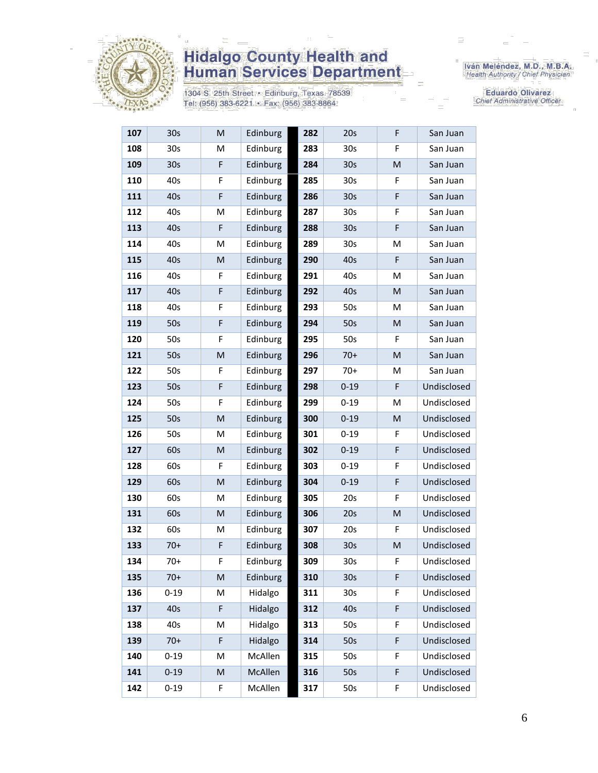

1304 S. 25th Street • Edinburg, Texas 78539<br>Tel: (956) 383-6221 • Fax: (956) 383-8864

Iván Meléndez, M.D., M.B.A.<br>Health Authority / Chief Physician

**Eduardo Olivarez** Chief Administrative Officer

| 107 | 30 <sub>s</sub> | M           | Edinburg | 282 | 20s             | F  | San Juan    |
|-----|-----------------|-------------|----------|-----|-----------------|----|-------------|
| 108 | 30 <sub>s</sub> | M           | Edinburg | 283 | 30 <sub>s</sub> | F  | San Juan    |
| 109 | 30 <sub>s</sub> | $\mathsf F$ | Edinburg | 284 | 30 <sub>s</sub> | M  | San Juan    |
| 110 | 40s             | F           | Edinburg | 285 | 30 <sub>s</sub> | F  | San Juan    |
| 111 | 40s             | $\mathsf F$ | Edinburg | 286 | 30 <sub>s</sub> | F  | San Juan    |
| 112 | 40s             | M           | Edinburg | 287 | 30 <sub>s</sub> | F  | San Juan    |
| 113 | 40s             | F           | Edinburg | 288 | 30 <sub>s</sub> | F  | San Juan    |
| 114 | 40s             | M           | Edinburg | 289 | 30 <sub>s</sub> | M  | San Juan    |
| 115 | 40s             | M           | Edinburg | 290 | 40s             | F  | San Juan    |
| 116 | 40s             | F           | Edinburg | 291 | 40s             | M  | San Juan    |
| 117 | 40s             | F           | Edinburg | 292 | 40s             | M  | San Juan    |
| 118 | 40s             | F           | Edinburg | 293 | 50s             | M  | San Juan    |
| 119 | 50s             | $\mathsf F$ | Edinburg | 294 | 50s             | M  | San Juan    |
| 120 | 50s             | F           | Edinburg | 295 | 50s             | F  | San Juan    |
| 121 | 50s             | M           | Edinburg | 296 | $70+$           | M  | San Juan    |
| 122 | 50s             | F           | Edinburg | 297 | $70+$           | M  | San Juan    |
| 123 | 50s             | $\mathsf F$ | Edinburg | 298 | $0 - 19$        | F  | Undisclosed |
| 124 | 50s             | F           | Edinburg | 299 | $0 - 19$        | M  | Undisclosed |
| 125 | 50s             | M           | Edinburg | 300 | $0 - 19$        | M  | Undisclosed |
| 126 | 50s             | Μ           | Edinburg | 301 | $0 - 19$        | F  | Undisclosed |
| 127 | 60s             | M           | Edinburg | 302 | $0 - 19$        | F  | Undisclosed |
| 128 | 60s             | F           | Edinburg | 303 | $0 - 19$        | F  | Undisclosed |
| 129 | 60s             | M           | Edinburg | 304 | $0 - 19$        | F  | Undisclosed |
| 130 | 60s             | М           | Edinburg | 305 | 20s             | F  | Undisclosed |
| 131 | 60s             | M           | Edinburg | 306 | 20s             | M  | Undisclosed |
| 132 | 60s             | М           | Edinburg | 307 | 20s             | F. | Undisclosed |
| 133 | $70+$           | $\mathsf F$ | Edinburg | 308 | 30s             | M  | Undisclosed |
| 134 | $70+$           | F           | Edinburg | 309 | 30 <sub>s</sub> | F  | Undisclosed |
| 135 | $70+$           | M           | Edinburg | 310 | 30 <sub>s</sub> | F  | Undisclosed |
| 136 | $0 - 19$        | M           | Hidalgo  | 311 | 30 <sub>s</sub> | F  | Undisclosed |
| 137 | 40s             | F           | Hidalgo  | 312 | 40s             | F  | Undisclosed |
| 138 | 40s             | M           | Hidalgo  | 313 | 50s             | F  | Undisclosed |
| 139 | $70+$           | F           | Hidalgo  | 314 | 50s             | F  | Undisclosed |
| 140 | $0 - 19$        | M           | McAllen  | 315 | 50s             | F  | Undisclosed |
| 141 | $0 - 19$        | M           | McAllen  | 316 | 50s             | F  | Undisclosed |
| 142 | $0 - 19$        | F           | McAllen  | 317 | 50s             | F  | Undisclosed |